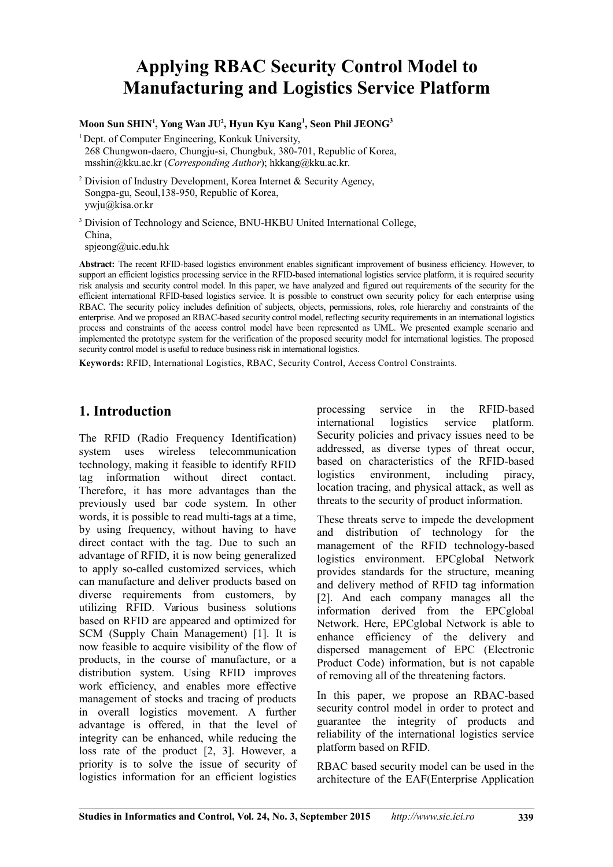# **Applying RBAC Security Control Model to Manufacturing and Logistics Service Platform**

#### **Moon Sun SHIN<sup>1</sup> , Yong Wan JU<sup>2</sup> , Hyun Kyu Kang<sup>1</sup> , Seon Phil JEONG<sup>3</sup>**

<sup>1</sup> Dept. of Computer Engineering, Konkuk University,

268 Chungwon-daero, Chungju-si, Chungbuk, 380-701, Republic of Korea, msshin@kku.ac.kr (*Corresponding Author*); hkkang@kku.ac.kr.

<sup>2</sup> Division of Industry Development, Korea Internet & Security Agency, Songpa-gu, Seoul,138-950, Republic of Korea, ywju@kisa.or.kr

<sup>3</sup> Division of Technology and Science, BNU-HKBU United International College, China,

 $spicong@uic.edu.hk$ 

**Abstract:** The recent RFID-based logistics environment enables significant improvement of business efficiency. However, to support an efficient logistics processing service in the RFID-based international logistics service platform, it is required security risk analysis and security control model. In this paper, we have analyzed and figured out requirements of the security for the efficient international RFID-based logistics service. It is possible to construct own security policy for each enterprise using RBAC. The security policy includes definition of subjects, objects, permissions, roles, role hierarchy and constraints of the enterprise. And we proposed an RBAC-based security control model, reflecting security requirements in an international logistics process and constraints of the access control model have been represented as UML. We presented example scenario and implemented the prototype system for the verification of the proposed security model for international logistics. The proposed security control model is useful to reduce business risk in international logistics.

**Keywords:** RFID, International Logistics, RBAC, Security Control, Access Control Constraints.

## **1. Introduction**

The RFID (Radio Frequency Identification) system uses wireless telecommunication technology, making it feasible to identify RFID tag information without direct contact. Therefore, it has more advantages than the previously used bar code system. In other words, it is possible to read multi-tags at a time, by using frequency, without having to have direct contact with the tag. Due to such an advantage of RFID, it is now being generalized to apply so-called customized services, which can manufacture and deliver products based on diverse requirements from customers, by utilizing RFID. Various business solutions based on RFID are appeared and optimized for SCM (Supply Chain Management) [1]. It is now feasible to acquire visibility of the flow of products, in the course of manufacture, or a distribution system. Using RFID improves work efficiency, and enables more effective management of stocks and tracing of products in overall logistics movement. A further advantage is offered, in that the level of integrity can be enhanced, while reducing the loss rate of the product [2, 3]. However, a priority is to solve the issue of security of logistics information for an efficient logistics

processing service in the RFID-based international logistics service platform. Security policies and privacy issues need to be addressed, as diverse types of threat occur, based on characteristics of the RFID-based logistics environment including piracy location tracing, and physical attack, as well as threats to the security of product information.

These threats serve to impede the development and distribution of technology for the management of the RFID technology-based logistics environment. EPCglobal Network provides standards for the structure, meaning and delivery method of RFID tag information [2]. And each company manages all the information derived from the EPCglobal Network. Here, EPCglobal Network is able to enhance efficiency of the delivery and dispersed management of EPC (Electronic Product Code) information, but is not capable of removing all of the threatening factors.

In this paper, we propose an RBAC-based security control model in order to protect and guarantee the integrity of products and reliability of the international logistics service platform based on RFID.

RBAC based security model can be used in the architecture of the EAF(Enterprise Application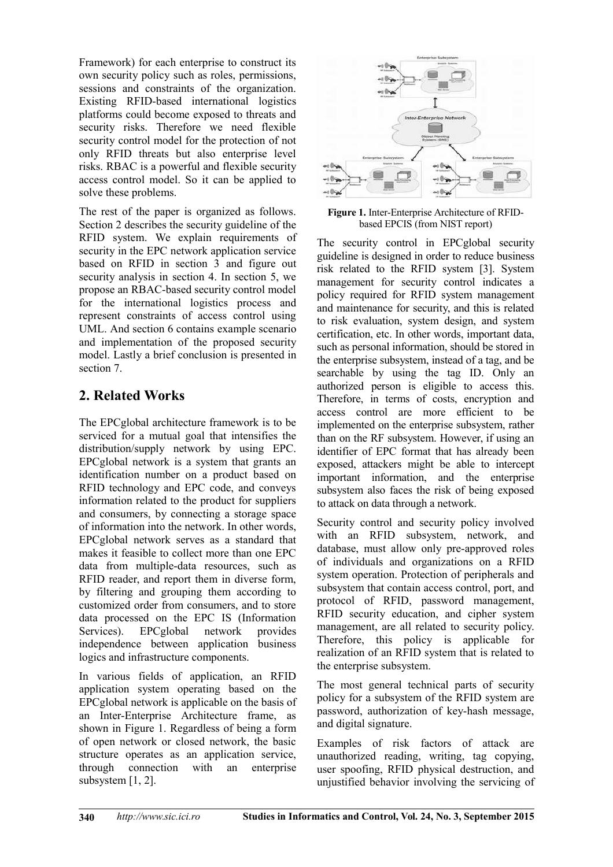Framework) for each enterprise to construct its own security policy such as roles, permissions, sessions and constraints of the organization. Existing RFID-based international logistics platforms could become exposed to threats and security risks. Therefore we need flexible security control model for the protection of not only RFID threats but also enterprise level risks. RBAC is a powerful and flexible security access control model. So it can be applied to solve these problems.

The rest of the paper is organized as follows. Section 2 describes the security guideline of the RFID system. We explain requirements of security in the EPC network application service based on RFID in section 3 and figure out security analysis in section 4. In section 5, we propose an RBAC-based security control model for the international logistics process and represent constraints of access control using UML. And section 6 contains example scenario and implementation of the proposed security model. Lastly a brief conclusion is presented in section 7.

# **2. Related Works**

The EPCglobal architecture framework is to be serviced for a mutual goal that intensifies the distribution/supply network by using EPC. EPCglobal network is a system that grants an identification number on a product based on RFID technology and EPC code, and conveys information related to the product for suppliers and consumers, by connecting a storage space of information into the network. In other words, EPCglobal network serves as a standard that makes it feasible to collect more than one EPC data from multiple-data resources, such as RFID reader, and report them in diverse form, by filtering and grouping them according to customized order from consumers, and to store data processed on the EPC IS (Information Services). EPCglobal network provides independence between application business logics and infrastructure components.

In various fields of application, an RFID application system operating based on the EPCglobal network is applicable on the basis of an Inter-Enterprise Architecture frame, as shown in Figure 1. Regardless of being a form of open network or closed network, the basic structure operates as an application service, through connection with an enterprise subsystem [1, 2].



**Figure 1.** Inter-Enterprise Architecture of RFIDbased EPCIS (from NIST report)

The security control in EPCglobal security guideline is designed in order to reduce business risk related to the RFID system [3]. System management for security control indicates a policy required for RFID system management and maintenance for security, and this is related to risk evaluation, system design, and system certification, etc. In other words, important data, such as personal information, should be stored in the enterprise subsystem, instead of a tag, and be searchable by using the tag ID. Only an authorized person is eligible to access this. Therefore, in terms of costs, encryption and access control are more efficient to be implemented on the enterprise subsystem, rather than on the RF subsystem. However, if using an identifier of EPC format that has already been exposed, attackers might be able to intercept important information, and the enterprise subsystem also faces the risk of being exposed to attack on data through a network.

Security control and security policy involved with an RFID subsystem, network, and database, must allow only pre-approved roles of individuals and organizations on a RFID system operation. Protection of peripherals and subsystem that contain access control, port, and protocol of RFID, password management, RFID security education, and cipher system management, are all related to security policy. Therefore, this policy is applicable for realization of an RFID system that is related to the enterprise subsystem.

The most general technical parts of security policy for a subsystem of the RFID system are password, authorization of key-hash message, and digital signature.

Examples of risk factors of attack are unauthorized reading, writing, tag copying, user spoofing, RFID physical destruction, and unjustified behavior involving the servicing of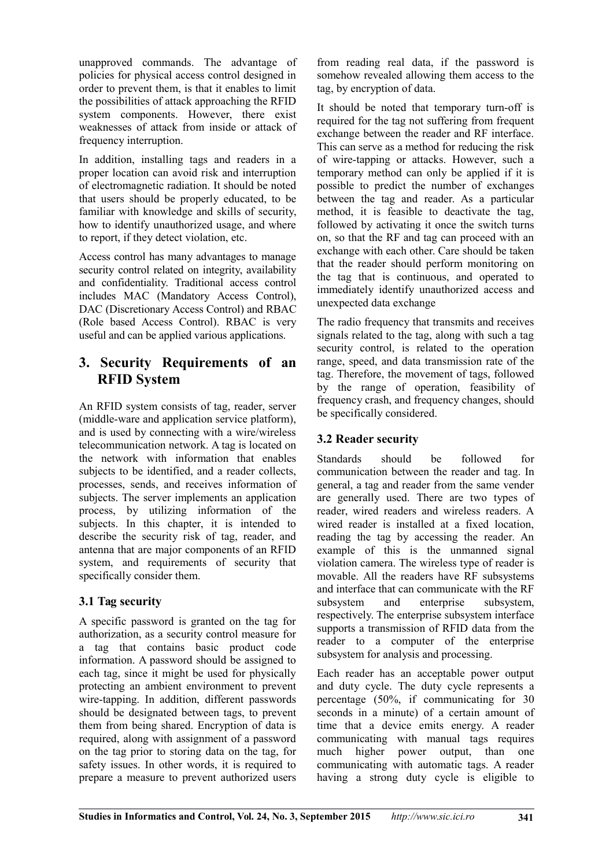unapproved commands. The advantage of policies for physical access control designed in order to prevent them, is that it enables to limit the possibilities of attack approaching the RFID system components. However, there exist weaknesses of attack from inside or attack of frequency interruption.

In addition, installing tags and readers in a proper location can avoid risk and interruption of electromagnetic radiation. It should be noted that users should be properly educated, to be familiar with knowledge and skills of security, how to identify unauthorized usage, and where to report, if they detect violation, etc.

Access control has many advantages to manage security control related on integrity, availability and confidentiality. Traditional access control includes MAC (Mandatory Access Control), DAC (Discretionary Access Control) and RBAC (Role based Access Control). RBAC is very useful and can be applied various applications.

## **3. Security Requirements of an RFID System**

An RFID system consists of tag, reader, server (middle-ware and application service platform), and is used by connecting with a wire/wireless telecommunication network. A tag is located on the network with information that enables subjects to be identified, and a reader collects, processes, sends, and receives information of subjects. The server implements an application process, by utilizing information of the subjects. In this chapter, it is intended to describe the security risk of tag, reader, and antenna that are major components of an RFID system, and requirements of security that specifically consider them.

## **3.1 Tag security**

A specific password is granted on the tag for authorization, as a security control measure for a tag that contains basic product code information. A password should be assigned to each tag, since it might be used for physically protecting an ambient environment to prevent wire-tapping. In addition, different passwords should be designated between tags, to prevent them from being shared. Encryption of data is required, along with assignment of a password on the tag prior to storing data on the tag, for safety issues. In other words, it is required to prepare a measure to prevent authorized users

from reading real data, if the password is somehow revealed allowing them access to the tag, by encryption of data.

It should be noted that temporary turn-off is required for the tag not suffering from frequent exchange between the reader and RF interface. This can serve as a method for reducing the risk of wire-tapping or attacks. However, such a temporary method can only be applied if it is possible to predict the number of exchanges between the tag and reader. As a particular method, it is feasible to deactivate the tag, followed by activating it once the switch turns on, so that the RF and tag can proceed with an exchange with each other. Care should be taken that the reader should perform monitoring on the tag that is continuous, and operated to immediately identify unauthorized access and unexpected data exchange

The radio frequency that transmits and receives signals related to the tag, along with such a tag security control, is related to the operation range, speed, and data transmission rate of the tag. Therefore, the movement of tags, followed by the range of operation, feasibility of frequency crash, and frequency changes, should be specifically considered.

## **3.2 Reader security**

Standards should be followed for communication between the reader and tag. In general, a tag and reader from the same vender are generally used. There are two types of reader, wired readers and wireless readers. A wired reader is installed at a fixed location, reading the tag by accessing the reader. An example of this is the unmanned signal violation camera. The wireless type of reader is movable. All the readers have RF subsystems and interface that can communicate with the RF subsystem and enterprise subsystem, respectively. The enterprise subsystem interface supports a transmission of RFID data from the reader to a computer of the enterprise subsystem for analysis and processing.

Each reader has an acceptable power output and duty cycle. The duty cycle represents a percentage (50%, if communicating for 30 seconds in a minute) of a certain amount of time that a device emits energy. A reader communicating with manual tags requires much higher power output, than one communicating with automatic tags. A reader having a strong duty cycle is eligible to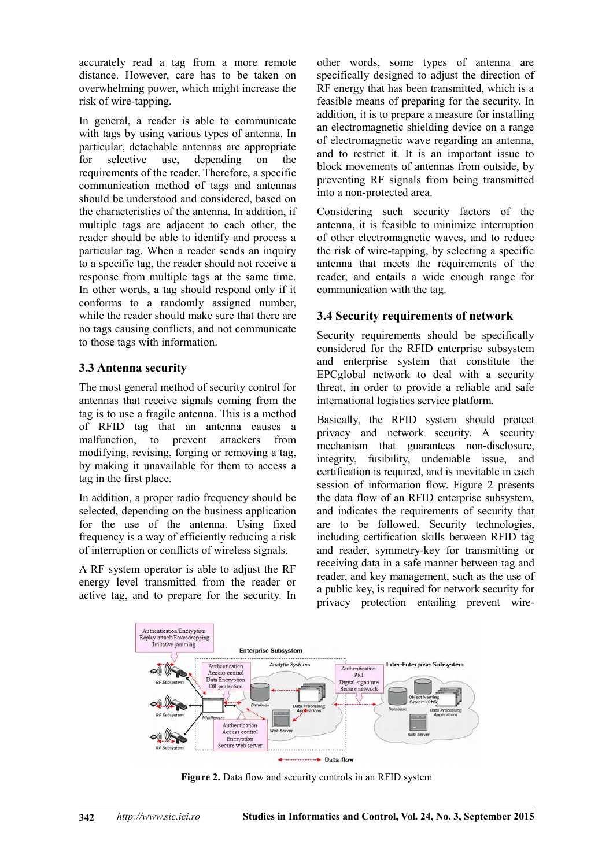accurately read a tag from a more remote distance. However, care has to be taken on overwhelming power, which might increase the risk of wire-tapping.

In general, a reader is able to communicate with tags by using various types of antenna. In particular, detachable antennas are appropriate for selective use, depending on the requirements of the reader. Therefore, a specific communication method of tags and antennas should be understood and considered, based on the characteristics of the antenna. In addition, if multiple tags are adjacent to each other, the reader should be able to identify and process a particular tag. When a reader sends an inquiry to a specific tag, the reader should not receive a response from multiple tags at the same time. In other words, a tag should respond only if it conforms to a randomly assigned number, while the reader should make sure that there are no tags causing conflicts, and not communicate to those tags with information.

## **3.3 Antenna security**

The most general method of security control for antennas that receive signals coming from the tag is to use a fragile antenna. This is a method of RFID tag that an antenna causes a malfunction, to prevent attackers from modifying, revising, forging or removing a tag, by making it unavailable for them to access a tag in the first place.

In addition, a proper radio frequency should be selected, depending on the business application for the use of the antenna. Using fixed frequency is a way of efficiently reducing a risk of interruption or conflicts of wireless signals.

A RF system operator is able to adjust the RF energy level transmitted from the reader or active tag, and to prepare for the security. In

other words, some types of antenna are specifically designed to adjust the direction of RF energy that has been transmitted, which is a feasible means of preparing for the security. In addition, it is to prepare a measure for installing an electromagnetic shielding device on a range of electromagnetic wave regarding an antenna, and to restrict it. It is an important issue to block movements of antennas from outside, by preventing RF signals from being transmitted into a non-protected area.

Considering such security factors of the antenna, it is feasible to minimize interruption of other electromagnetic waves, and to reduce the risk of wire-tapping, by selecting a specific antenna that meets the requirements of the reader, and entails a wide enough range for communication with the tag.

## **3.4 Security requirements of network**

Security requirements should be specifically considered for the RFID enterprise subsystem and enterprise system that constitute the EPCglobal network to deal with a security threat, in order to provide a reliable and safe international logistics service platform.

Basically, the RFID system should protect privacy and network security. A security mechanism that guarantees non-disclosure, integrity, fusibility, undeniable issue, and certification is required, and is inevitable in each session of information flow. Figure 2 presents the data flow of an RFID enterprise subsystem, and indicates the requirements of security that are to be followed. Security technologies, including certification skills between RFID tag and reader, symmetry-key for transmitting or receiving data in a safe manner between tag and reader, and key management, such as the use of a public key, is required for network security for privacy protection entailing prevent wire-



**Figure 2.** Data flow and security controls in an RFID system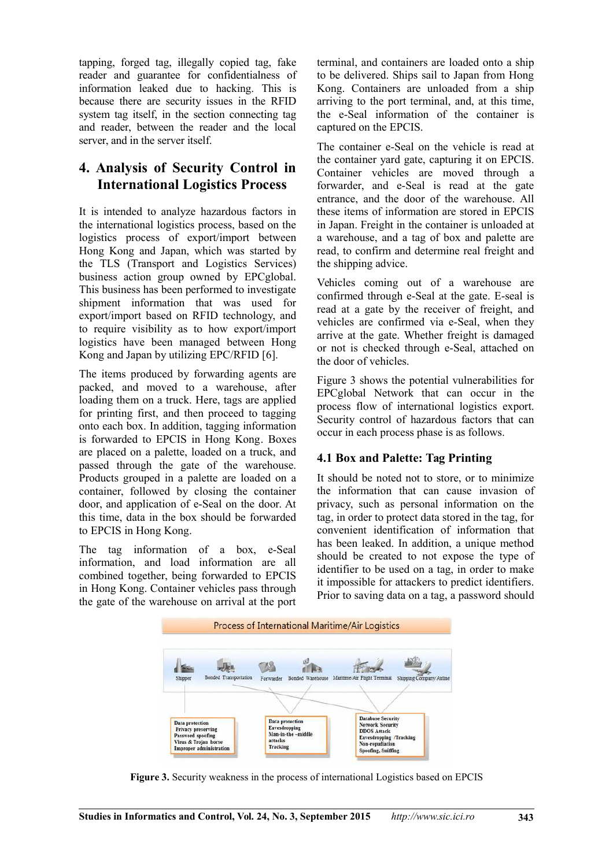tapping, forged tag, illegally copied tag, fake reader and guarantee for confidentialness of information leaked due to hacking. This is because there are security issues in the RFID system tag itself, in the section connecting tag and reader, between the reader and the local server, and in the server itself.

## **4. Analysis of Security Control in International Logistics Process**

It is intended to analyze hazardous factors in the international logistics process, based on the logistics process of export/import between Hong Kong and Japan, which was started by the TLS (Transport and Logistics Services) business action group owned by EPCglobal. This business has been performed to investigate shipment information that was used for export/import based on RFID technology, and to require visibility as to how export/import logistics have been managed between Hong Kong and Japan by utilizing EPC/RFID [6].

The items produced by forwarding agents are packed, and moved to a warehouse, after loading them on a truck. Here, tags are applied for printing first, and then proceed to tagging onto each box. In addition, tagging information is forwarded to EPCIS in Hong Kong. Boxes are placed on a palette, loaded on a truck, and passed through the gate of the warehouse. Products grouped in a palette are loaded on a container, followed by closing the container door, and application of e-Seal on the door. At this time, data in the box should be forwarded to EPCIS in Hong Kong.

The tag information of a box, e-Seal information, and load information are all combined together, being forwarded to EPCIS in Hong Kong. Container vehicles pass through the gate of the warehouse on arrival at the port

terminal, and containers are loaded onto a ship to be delivered. Ships sail to Japan from Hong Kong. Containers are unloaded from a ship arriving to the port terminal, and, at this time, the e-Seal information of the container is captured on the EPCIS.

The container e-Seal on the vehicle is read at the container yard gate, capturing it on EPCIS. Container vehicles are moved through a forwarder, and e-Seal is read at the gate entrance, and the door of the warehouse. All these items of information are stored in EPCIS in Japan. Freight in the container is unloaded at a warehouse, and a tag of box and palette are read, to confirm and determine real freight and the shipping advice.

Vehicles coming out of a warehouse are confirmed through e-Seal at the gate. E-seal is read at a gate by the receiver of freight, and vehicles are confirmed via e-Seal, when they arrive at the gate. Whether freight is damaged or not is checked through e-Seal, attached on the door of vehicles.

Figure 3 shows the potential vulnerabilities for EPCglobal Network that can occur in the process flow of international logistics export. Security control of hazardous factors that can occur in each process phase is as follows.

## **4.1 Box and Palette: Tag Printing**

It should be noted not to store, or to minimize the information that can cause invasion of privacy, such as personal information on the tag, in order to protect data stored in the tag, for convenient identification of information that has been leaked. In addition, a unique method should be created to not expose the type of identifier to be used on a tag, in order to make it impossible for attackers to predict identifiers. Prior to saving data on a tag, a password should



**Figure 3.** Security weakness in the process of international Logistics based on EPCIS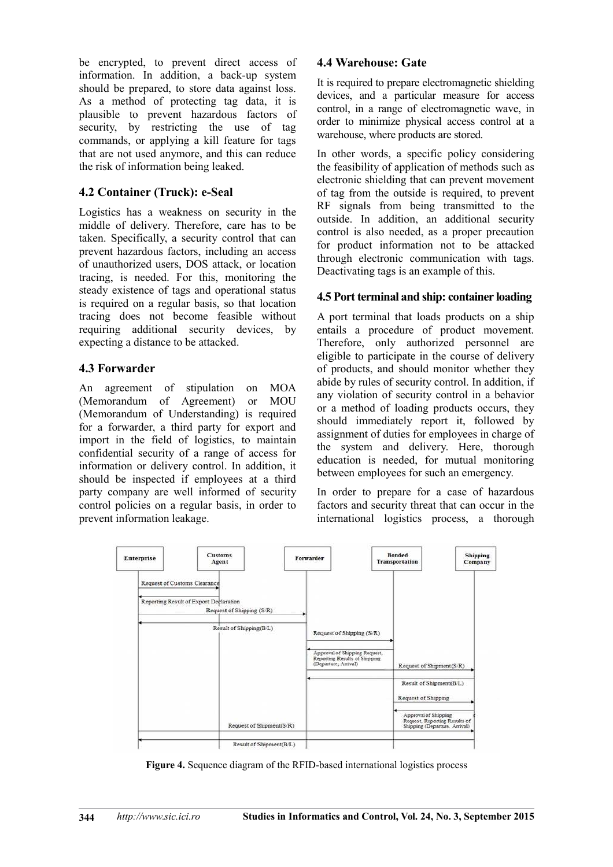be encrypted, to prevent direct access of information. In addition, a back-up system should be prepared, to store data against loss. As a method of protecting tag data, it is plausible to prevent hazardous factors of security, by restricting the use of tag commands, or applying a kill feature for tags that are not used anymore, and this can reduce the risk of information being leaked.

#### **4.2 Container (Truck): e-Seal**

Logistics has a weakness on security in the middle of delivery. Therefore, care has to be taken. Specifically, a security control that can prevent hazardous factors, including an access of unauthorized users, DOS attack, or location tracing, is needed. For this, monitoring the steady existence of tags and operational status is required on a regular basis, so that location tracing does not become feasible without requiring additional security devices, by expecting a distance to be attacked.

#### **4.3 Forwarder**

An agreement of stipulation on MOA (Memorandum of Agreement) or MOU (Memorandum of Understanding) is required for a forwarder, a third party for export and import in the field of logistics, to maintain confidential security of a range of access for information or delivery control. In addition, it should be inspected if employees at a third party company are well informed of security control policies on a regular basis, in order to prevent information leakage.

#### **4.4 Warehouse: Gate**

It is required to prepare electromagnetic shielding devices, and a particular measure for access control, in a range of electromagnetic wave, in order to minimize physical access control at a warehouse, where products are stored.

In other words, a specific policy considering the feasibility of application of methods such as electronic shielding that can prevent movement of tag from the outside is required, to prevent RF signals from being transmitted to the outside. In addition, an additional security control is also needed, as a proper precaution for product information not to be attacked through electronic communication with tags. Deactivating tags is an example of this.

#### **4.5 Port terminal and ship: container loading**

A port terminal that loads products on a ship entails a procedure of product movement. Therefore, only authorized personnel are eligible to participate in the course of delivery of products, and should monitor whether they abide by rules of security control. In addition, if any violation of security control in a behavior or a method of loading products occurs, they should immediately report it, followed by assignment of duties for employees in charge of the system and delivery. Here, thorough education is needed, for mutual monitoring between employees for such an emergency.

In order to prepare for a case of hazardous factors and security threat that can occur in the international logistics process, a thorough



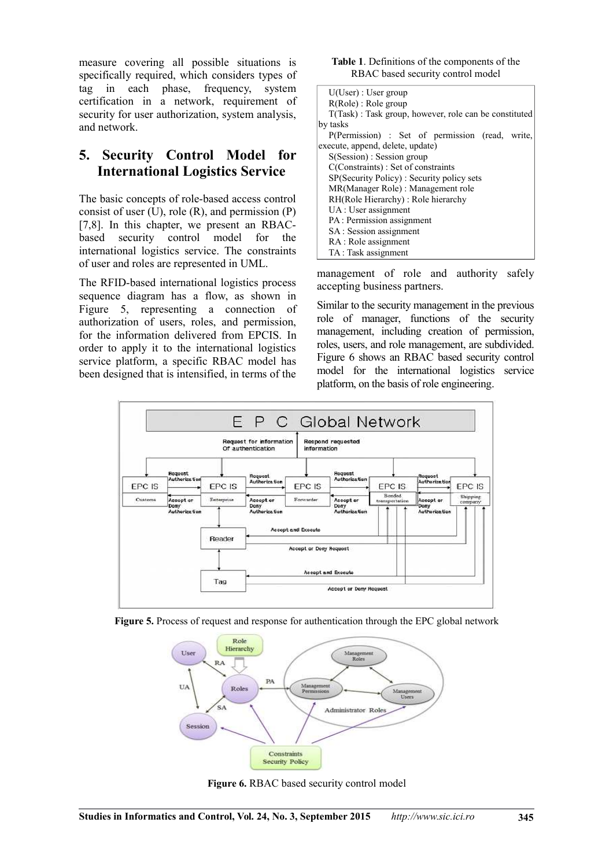measure covering all possible situations is specifically required, which considers types of tag in each phase, frequency, system certification in a network, requirement of security for user authorization, system analysis, and network.

## **5. Security Control Model for International Logistics Service**

The basic concepts of role-based access control consist of user  $(U)$ , role  $(R)$ , and permission  $(P)$ [7,8]. In this chapter, we present an RBACbased security control model for the international logistics service. The constraints of user and roles are represented in UML.

The RFID-based international logistics process sequence diagram has a flow, as shown in Figure 5, representing a connection of authorization of users, roles, and permission, for the information delivered from EPCIS. In order to apply it to the international logistics service platform, a specific RBAC model has been designed that is intensified, in terms of the

| Table 1. Definitions of the components of the |  |
|-----------------------------------------------|--|
| RBAC based security control model             |  |

| $U(User)$ : User group                                |  |  |  |
|-------------------------------------------------------|--|--|--|
| $R(Role)$ : Role group                                |  |  |  |
| T(Task): Task group, however, role can be constituted |  |  |  |
| by tasks                                              |  |  |  |
| P(Permission) : Set of permission (read, write,       |  |  |  |
| execute, append, delete, update)                      |  |  |  |
| $S(Session)$ : Session group                          |  |  |  |
| C(Constraints): Set of constraints                    |  |  |  |
| SP(Security Policy): Security policy sets             |  |  |  |
| MR(Manager Role) : Management role                    |  |  |  |
| RH(Role Hierarchy): Role hierarchy                    |  |  |  |
| UA : User assignment                                  |  |  |  |
| PA: Permission assignment                             |  |  |  |
| SA: Session assignment                                |  |  |  |
| RA : Role assignment                                  |  |  |  |
| TA: Task assignment                                   |  |  |  |

management of role and authority safely accepting business partners.

Similar to the security management in the previous role of manager, functions of the security management, including creation of permission, roles, users, and role management, are subdivided. Figure 6 shows an RBAC based security control model for the international logistics service platform, on the basis of role engineering.







**Figure 6.** RBAC based security control model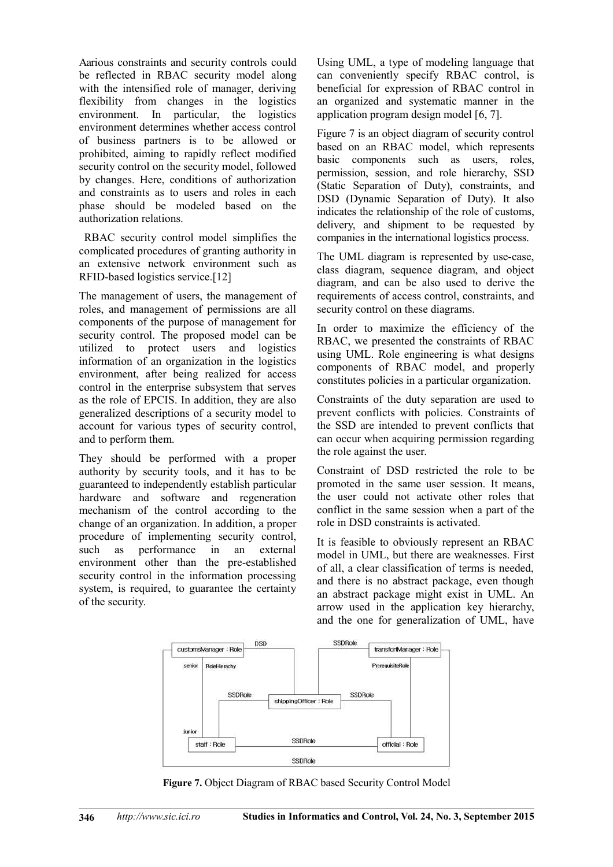Aarious constraints and security controls could be reflected in RBAC security model along with the intensified role of manager, deriving flexibility from changes in the logistics environment. In particular, the logistics environment determines whether access control of business partners is to be allowed or prohibited, aiming to rapidly reflect modified security control on the security model, followed by changes. Here, conditions of authorization and constraints as to users and roles in each phase should be modeled based on the authorization relations.

 RBAC security control model simplifies the complicated procedures of granting authority in an extensive network environment such as RFID-based logistics service.[12]

The management of users, the management of roles, and management of permissions are all components of the purpose of management for security control. The proposed model can be utilized to protect users and logistics information of an organization in the logistics environment, after being realized for access control in the enterprise subsystem that serves as the role of EPCIS. In addition, they are also generalized descriptions of a security model to account for various types of security control, and to perform them.

They should be performed with a proper authority by security tools, and it has to be guaranteed to independently establish particular hardware and software and regeneration mechanism of the control according to the change of an organization. In addition, a proper procedure of implementing security control, such as performance in an external environment other than the pre-established security control in the information processing system, is required, to guarantee the certainty of the security.

Using UML, a type of modeling language that can conveniently specify RBAC control, is beneficial for expression of RBAC control in an organized and systematic manner in the application program design model [6, 7].

Figure 7 is an object diagram of security control based on an RBAC model, which represents basic components such as users, roles, permission, session, and role hierarchy, SSD (Static Separation of Duty), constraints, and DSD (Dynamic Separation of Duty). It also indicates the relationship of the role of customs, delivery, and shipment to be requested by companies in the international logistics process.

The UML diagram is represented by use-case, class diagram, sequence diagram, and object diagram, and can be also used to derive the requirements of access control, constraints, and security control on these diagrams.

In order to maximize the efficiency of the RBAC, we presented the constraints of RBAC using UML. Role engineering is what designs components of RBAC model, and properly constitutes policies in a particular organization.

Constraints of the duty separation are used to prevent conflicts with policies. Constraints of the SSD are intended to prevent conflicts that can occur when acquiring permission regarding the role against the user.

Constraint of DSD restricted the role to be promoted in the same user session. It means, the user could not activate other roles that conflict in the same session when a part of the role in DSD constraints is activated.

It is feasible to obviously represent an RBAC model in UML, but there are weaknesses. First of all, a clear classification of terms is needed, and there is no abstract package, even though an abstract package might exist in UML. An arrow used in the application key hierarchy, and the one for generalization of UML, have



**Figure 7.** Object Diagram of RBAC based Security Control Model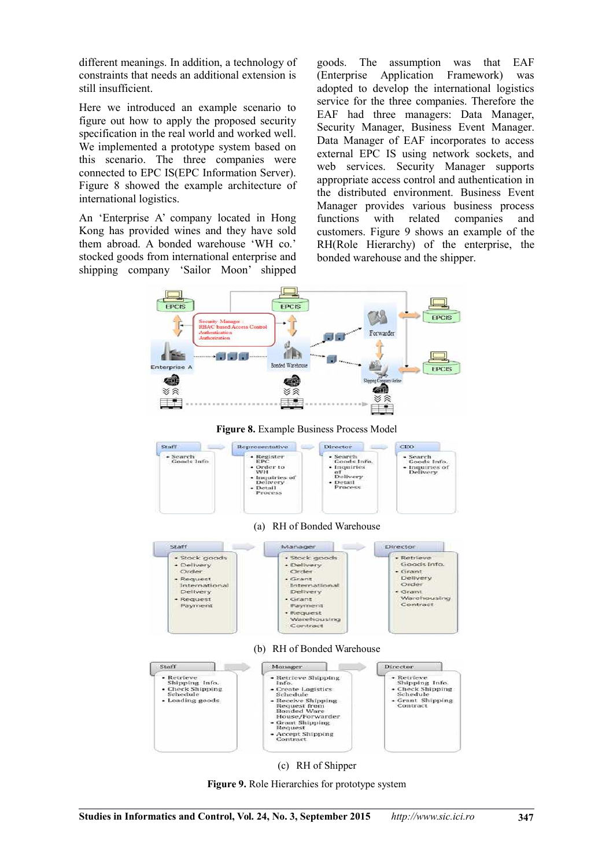different meanings. In addition, a technology of constraints that needs an additional extension is still insufficient.

Here we introduced an example scenario to figure out how to apply the proposed security specification in the real world and worked well. We implemented a prototype system based on this scenario. The three companies were connected to EPC IS(EPC Information Server). Figure 8 showed the example architecture of international logistics.

An 'Enterprise A' company located in Hong Kong has provided wines and they have sold them abroad. A bonded warehouse 'WH co.' stocked goods from international enterprise and shipping company 'Sailor Moon' shipped

goods. The assumption was that EAF (Enterprise Application Framework) was adopted to develop the international logistics service for the three companies. Therefore the EAF had three managers: Data Manager, Security Manager, Business Event Manager. Data Manager of EAF incorporates to access external EPC IS using network sockets, and web services. Security Manager supports appropriate access control and authentication in the distributed environment. Business Event Manager provides various business process functions with related companies and customers. Figure 9 shows an example of the RH(Role Hierarchy) of the enterprise, the bonded warehouse and the shipper.





**Figure 9.** Role Hierarchies for prototype system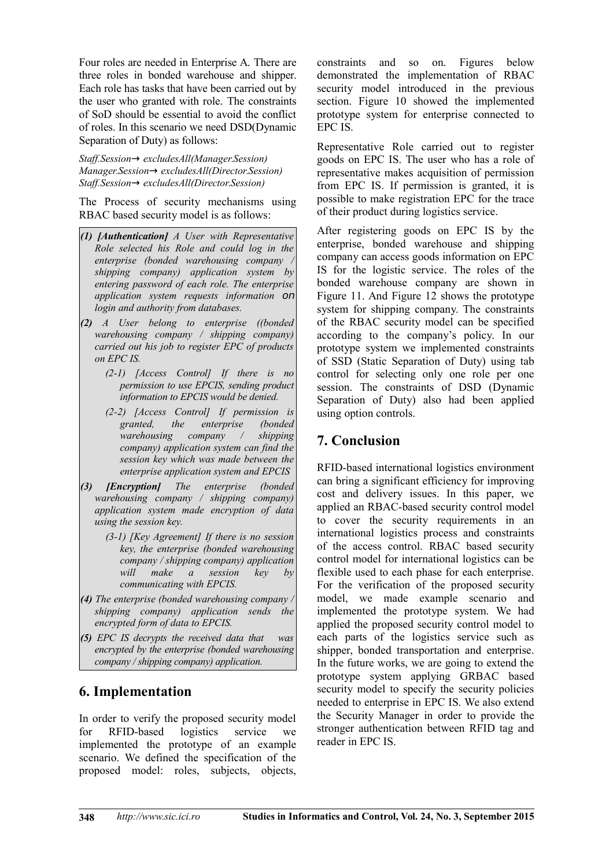Four roles are needed in Enterprise A. There are three roles in bonded warehouse and shipper. Each role has tasks that have been carried out by the user who granted with role. The constraints of SoD should be essential to avoid the conflict of roles. In this scenario we need DSD(Dynamic Separation of Duty) as follows:

*Staff.Session*→ *excludesAll(Manager.Session) Manager.Session*→ *excludesAll(Director.Session) Staff.Session*→ *excludesAll(Director.Session)*

The Process of security mechanisms using RBAC based security model is as follows:

- *(1) [Authentication] A User with Representative Role selected his Role and could log in the enterprise (bonded warehousing company / shipping company) application system by entering password of each role. The enterprise application system requests information* on *login and authority from databases.*
- *(2) A User belong to enterprise ((bonded warehousing company / shipping company) carried out his job to register EPC of products on EPC IS.*
	- *(2-1) [Access Control] If there is no permission to use EPCIS, sending product information to EPCIS would be denied.*
	- *(2-2) [Access Control] If permission is granted, the enterprise warehousing company / shipping company) application system can find the session key which was made between the enterprise application system and EPCIS*
- *(3) [Encryption] The enterprise (bonded warehousing company / shipping company) application system made encryption of data using the session key.*
	- *(3-1) [Key Agreement] If there is no session key, the enterprise (bonded warehousing company / shipping company) application will make a session key by communicating with EPCIS.*
- *(4) The enterprise (bonded warehousing company / shipping company) application sends the encrypted form of data to EPCIS.*
- *(5) EPC IS decrypts the received data that was encrypted by the enterprise (bonded warehousing company / shipping company) application.*

## **6. Implementation**

In order to verify the proposed security model for RFID-based logistics service we implemented the prototype of an example scenario. We defined the specification of the proposed model: roles, subjects, objects, constraints and so on. Figures below demonstrated the implementation of RBAC security model introduced in the previous section. Figure 10 showed the implemented prototype system for enterprise connected to EPC IS.

Representative Role carried out to register goods on EPC IS. The user who has a role of representative makes acquisition of permission from EPC IS. If permission is granted, it is possible to make registration EPC for the trace of their product during logistics service.

After registering goods on EPC IS by the enterprise, bonded warehouse and shipping company can access goods information on EPC IS for the logistic service. The roles of the bonded warehouse company are shown in Figure 11. And Figure 12 shows the prototype system for shipping company. The constraints of the RBAC security model can be specified according to the company's policy. In our prototype system we implemented constraints of SSD (Static Separation of Duty) using tab control for selecting only one role per one session. The constraints of DSD (Dynamic Separation of Duty) also had been applied using option controls.

# **7. Conclusion**

RFID-based international logistics environment can bring a significant efficiency for improving cost and delivery issues. In this paper, we applied an RBAC-based security control model to cover the security requirements in an international logistics process and constraints of the access control. RBAC based security control model for international logistics can be flexible used to each phase for each enterprise. For the verification of the proposed security model, we made example scenario and implemented the prototype system. We had applied the proposed security control model to each parts of the logistics service such as shipper, bonded transportation and enterprise. In the future works, we are going to extend the prototype system applying GRBAC based security model to specify the security policies needed to enterprise in EPC IS. We also extend the Security Manager in order to provide the stronger authentication between RFID tag and reader in EPC IS.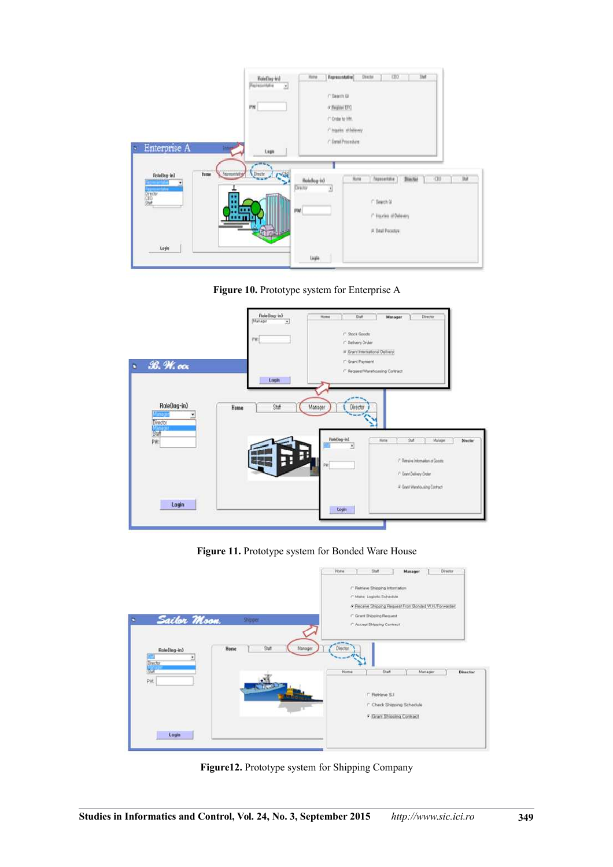|                                                                                           | Bale(log-ird)<br>Pepresentative<br>Y)<br><b>PW</b>    | list<br>CEO.<br>Director.<br>Representative]<br>Rote<br>(" Search GF<br>* NUMBER<br><sup>(*</sup> Onlier to life).<br>/ Inazies of Delivery               |
|-------------------------------------------------------------------------------------------|-------------------------------------------------------|-----------------------------------------------------------------------------------------------------------------------------------------------------------|
| Enterprise A<br>٠<br>12911-15<br>Home<br>RoleBog-in1<br>.<br><b>Grecor</b><br>CEO<br>Shah | Legis<br><b>Dische</b><br>-4<br>Representation<br>PW. | / Datal Procedure<br><b>Jul</b><br><b>Director</b><br>Novombre<br>Huna<br>CD)<br>Rotellog-in3<br>Dreito<br>Ł.<br>$f$ Search Of<br>/ Hispaties of Delivery |
| Login                                                                                     |                                                       | V Detail Procedure<br>Light                                                                                                                               |



|                                   | Role(log-in)<br>Slanager<br>₫<br>PW. | <b>Staff</b><br>Director<br>Home<br>Manager<br>$r$ Stock Grouts<br>C Delivery Order                                                             |
|-----------------------------------|--------------------------------------|-------------------------------------------------------------------------------------------------------------------------------------------------|
| $R.$ $M.$ $ocx$<br>b.             | Login                                | a Crant International Delivery)<br>C Grant Payment<br>C Request Warehousing Contract                                                            |
| Role(log-in)<br>nosti<br>Director | Staff<br>Home                        | Manager<br>Director<br>--                                                                                                                       |
| 87<br>PW.                         |                                      | RoleOng-in)<br><b>Out</b><br><b>Hote</b><br>Matugar<br><b>Director</b><br><b>PUSH</b><br>٠<br><sup>7</sup> Petreire Information of Goods:<br>PE |
|                                   |                                      | C Grant Delivery Onter                                                                                                                          |

**Figure 11.** Prototype system for Bonded Ware House



**Figure12.** Prototype system for Shipping Company